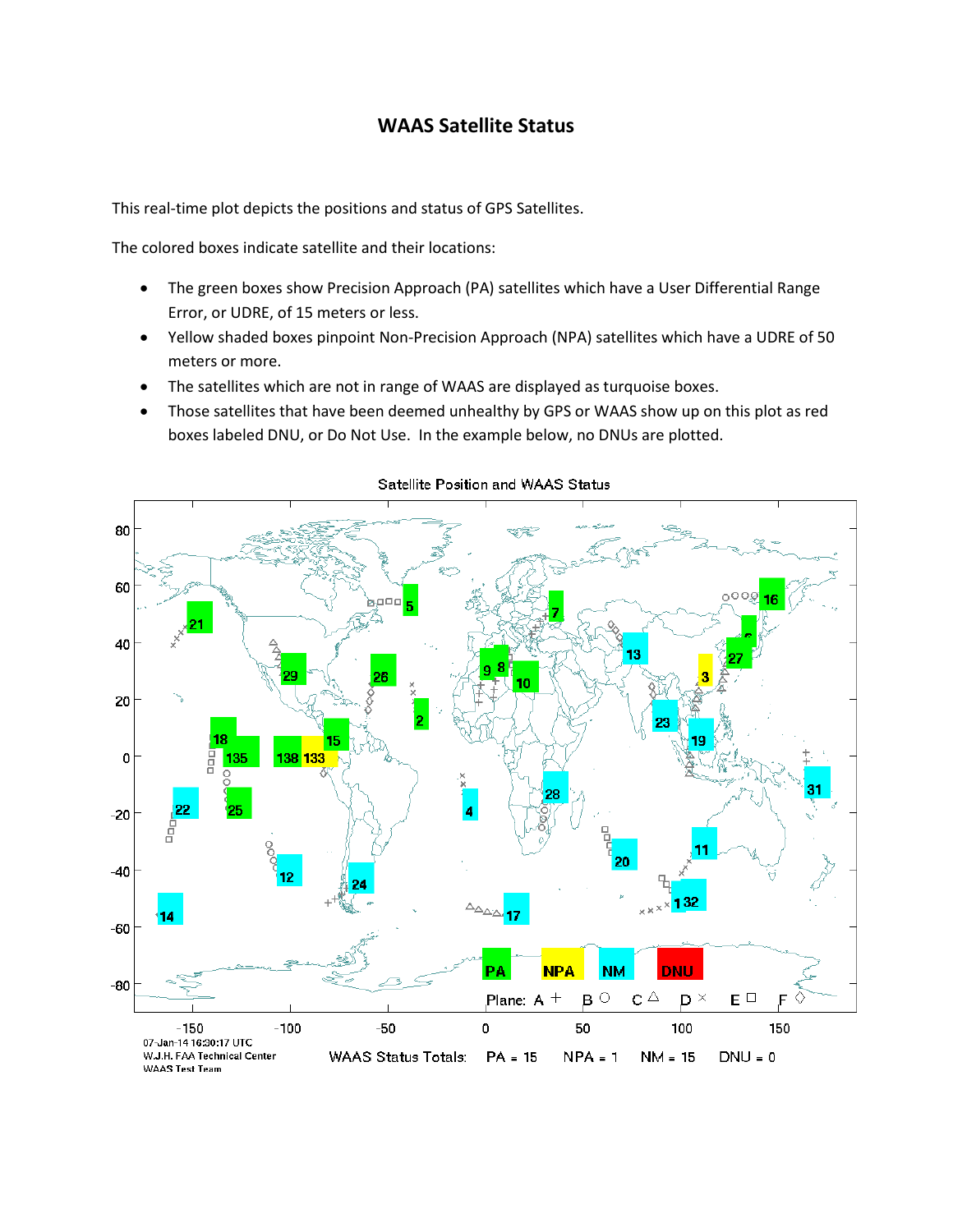# **WAAS Satellite Status**

This real-time plot depicts the positions and status of GPS Satellites.

The colored boxes indicate satellite and their locations:

- The green boxes show Precision Approach (PA) satellites which have a User Differential Range Error, or UDRE, of 15 meters or less.
- Yellow shaded boxes pinpoint Non-Precision Approach (NPA) satellites which have a UDRE of 50 meters or more.
- The satellites which are not in range of WAAS are displayed as turquoise boxes.
- Those satellites that have been deemed unhealthy by GPS or WAAS show up on this plot as red boxes labeled DNU, or Do Not Use. In the example below, no DNUs are plotted.



#### Satellite Position and WAAS Status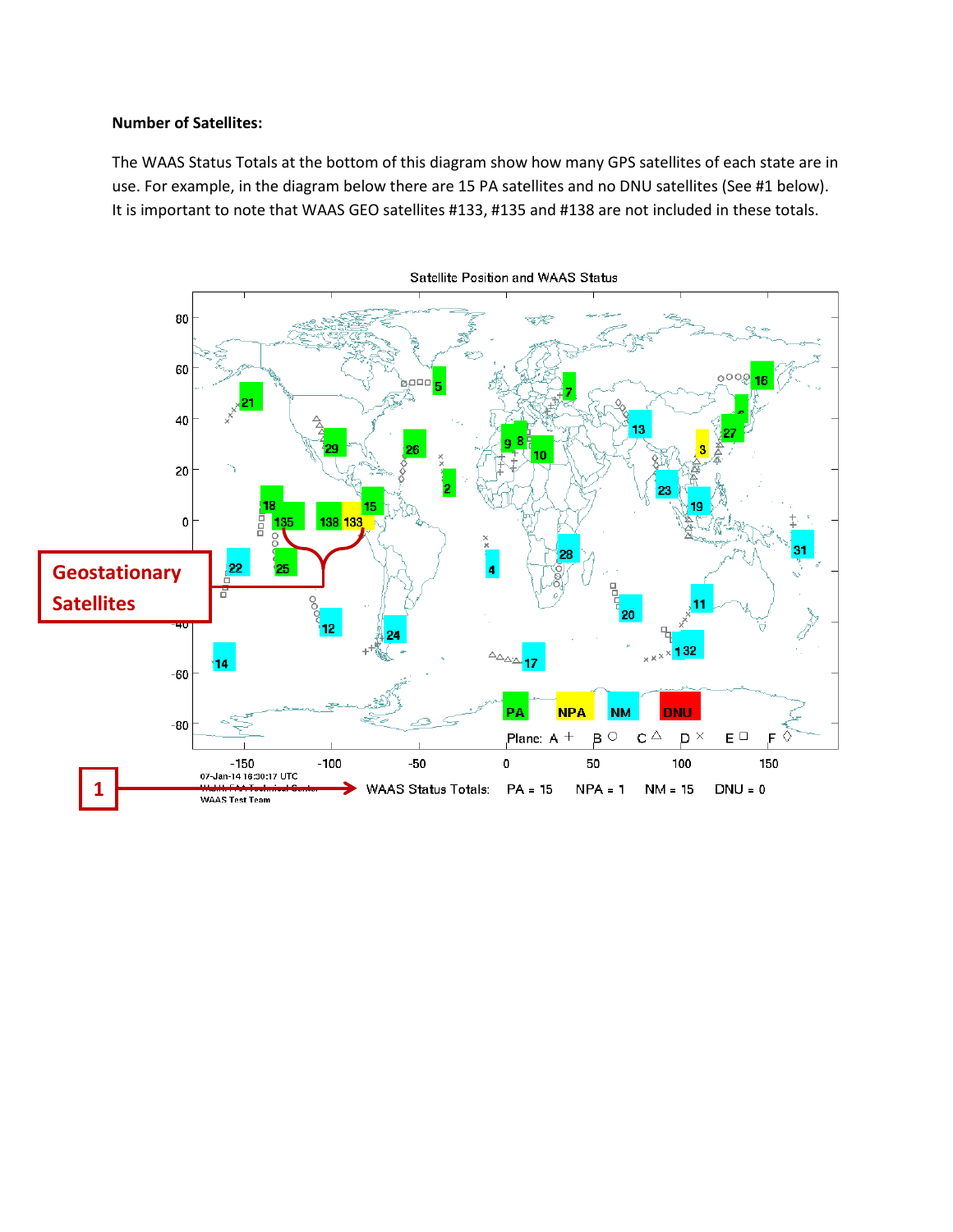### **Number of Satellites:**

The WAAS Status Totals at the bottom of this diagram show how many GPS satellites of each state are in use. For example, in the diagram below there are 15 PA satellites and no DNU satellites (See #1 below). It is important to note that WAAS GEO satellites #133, #135 and #138 are not included in these totals.

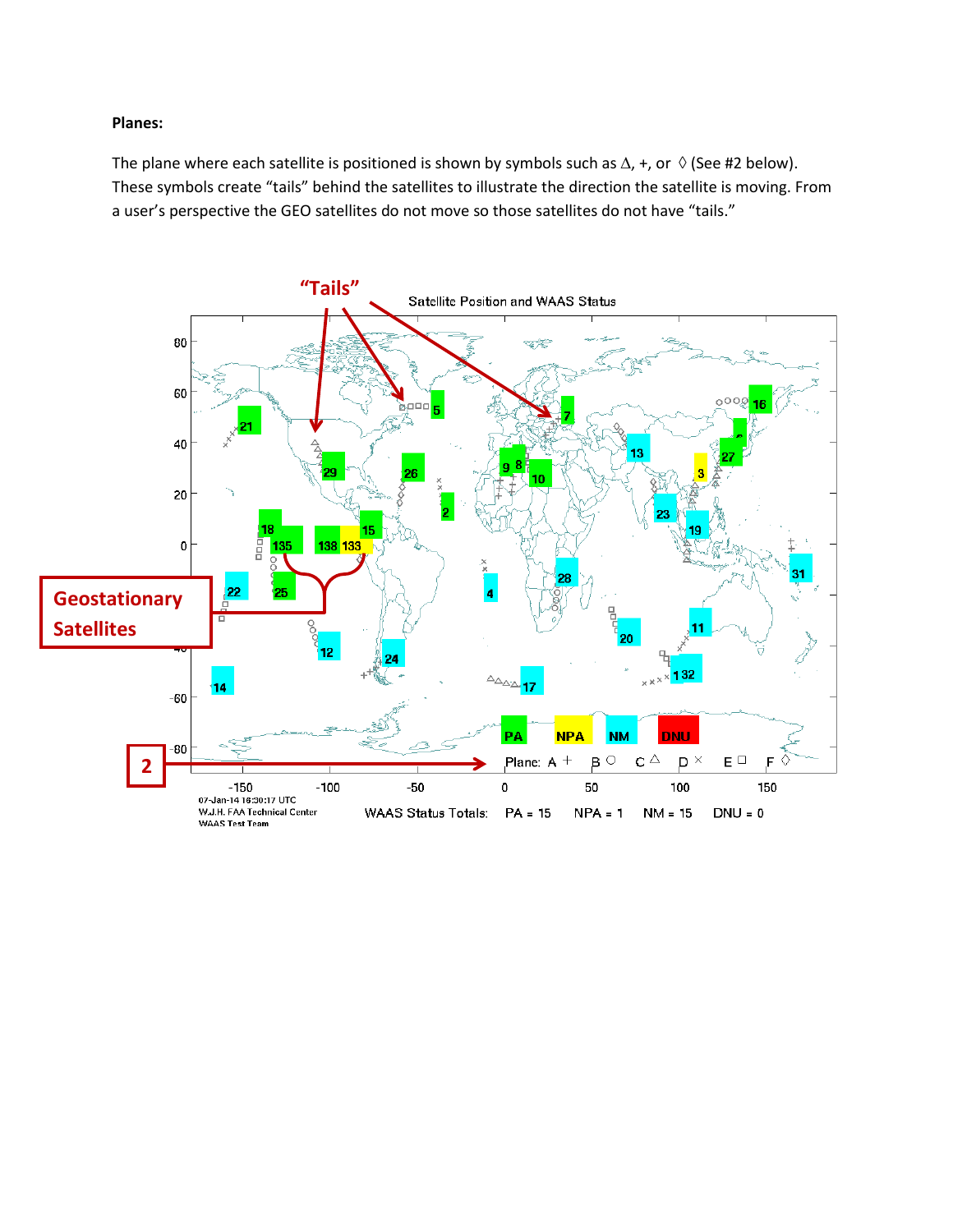## **Planes:**

The plane where each satellite is positioned is shown by symbols such as  $\Delta$ , +, or  $\Diamond$  (See #2 below). These symbols create "tails" behind the satellites to illustrate the direction the satellite is moving. From a user's perspective the GEO satellites do not move so those satellites do not have "tails."